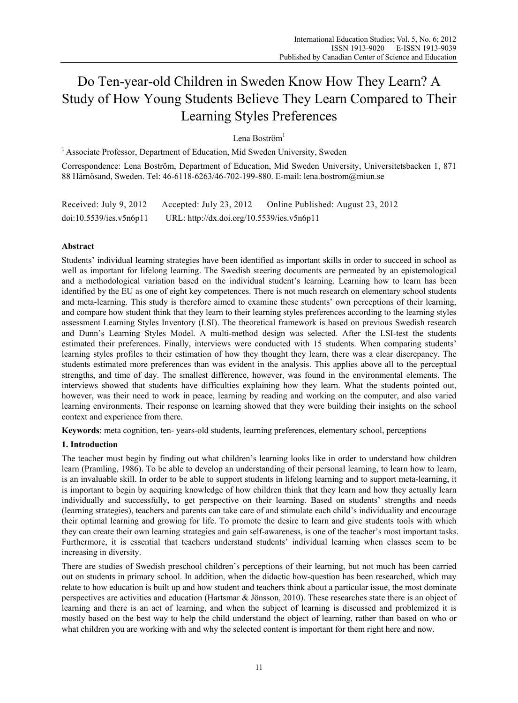# Do Ten-year-old Children in Sweden Know How They Learn? A Study of How Young Students Believe They Learn Compared to Their Learning Styles Preferences

Lena Boström<sup>1</sup>

<sup>1</sup> Associate Professor, Department of Education, Mid Sweden University, Sweden

Correspondence: Lena Boström, Department of Education, Mid Sweden University, Universitetsbacken 1, 871 88 Härnösand, Sweden. Tel: 46-6118-6263/46-702-199-880. E-mail: lena.bostrom@miun.se

| Received: July 9, 2012  | Accepted: July 23, 2012                    | Online Published: August 23, 2012 |
|-------------------------|--------------------------------------------|-----------------------------------|
| doi:10.5539/ies.v5n6p11 | URL: http://dx.doi.org/10.5539/ies.v5n6p11 |                                   |

# **Abstract**

Students' individual learning strategies have been identified as important skills in order to succeed in school as well as important for lifelong learning. The Swedish steering documents are permeated by an epistemological and a methodological variation based on the individual student's learning. Learning how to learn has been identified by the EU as one of eight key competences. There is not much research on elementary school students and meta-learning. This study is therefore aimed to examine these students' own perceptions of their learning, and compare how student think that they learn to their learning styles preferences according to the learning styles assessment Learning Styles Inventory (LSI). The theoretical framework is based on previous Swedish research and Dunn's Learning Styles Model. A multi-method design was selected. After the LSI-test the students estimated their preferences. Finally, interviews were conducted with 15 students. When comparing students' learning styles profiles to their estimation of how they thought they learn, there was a clear discrepancy. The students estimated more preferences than was evident in the analysis. This applies above all to the perceptual strengths, and time of day. The smallest difference, however, was found in the environmental elements. The interviews showed that students have difficulties explaining how they learn. What the students pointed out, however, was their need to work in peace, learning by reading and working on the computer, and also varied learning environments. Their response on learning showed that they were building their insights on the school context and experience from there.

**Keywords**: meta cognition, ten- years-old students, learning preferences, elementary school, perceptions

# **1. Introduction**

The teacher must begin by finding out what children's learning looks like in order to understand how children learn (Pramling, 1986). To be able to develop an understanding of their personal learning, to learn how to learn, is an invaluable skill. In order to be able to support students in lifelong learning and to support meta-learning, it is important to begin by acquiring knowledge of how children think that they learn and how they actually learn individually and successfully, to get perspective on their learning. Based on students' strengths and needs (learning strategies), teachers and parents can take care of and stimulate each child's individuality and encourage their optimal learning and growing for life. To promote the desire to learn and give students tools with which they can create their own learning strategies and gain self-awareness, is one of the teacher's most important tasks. Furthermore, it is essential that teachers understand students' individual learning when classes seem to be increasing in diversity.

There are studies of Swedish preschool children's perceptions of their learning, but not much has been carried out on students in primary school. In addition, when the didactic how-question has been researched, which may relate to how education is built up and how student and teachers think about a particular issue, the most dominate perspectives are activities and education (Hartsmar & Jönsson, 2010). These researches state there is an object of learning and there is an act of learning, and when the subject of learning is discussed and problemized it is mostly based on the best way to help the child understand the object of learning, rather than based on who or what children you are working with and why the selected content is important for them right here and now.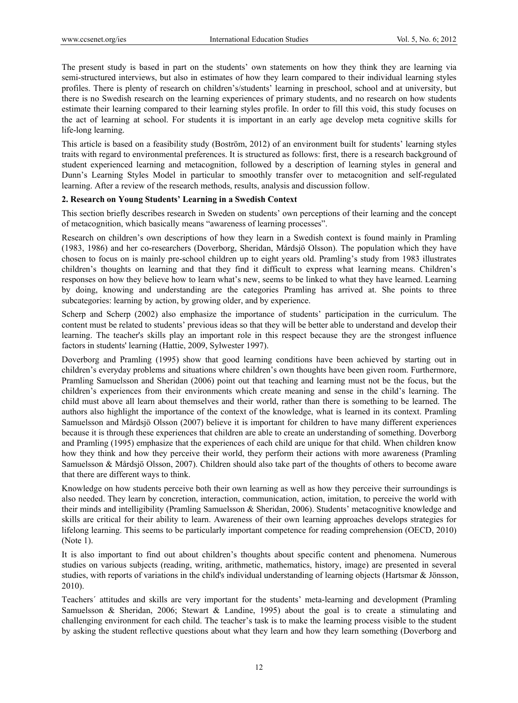The present study is based in part on the students' own statements on how they think they are learning via semi-structured interviews, but also in estimates of how they learn compared to their individual learning styles profiles. There is plenty of research on children's/students' learning in preschool, school and at university, but there is no Swedish research on the learning experiences of primary students, and no research on how students estimate their learning compared to their learning styles profile. In order to fill this void, this study focuses on the act of learning at school. For students it is important in an early age develop meta cognitive skills for life-long learning.

This article is based on a feasibility study (Boström, 2012) of an environment built for students' learning styles traits with regard to environmental preferences. It is structured as follows: first, there is a research background of student experienced learning and metacognition, followed by a description of learning styles in general and Dunn's Learning Styles Model in particular to smoothly transfer over to metacognition and self-regulated learning. After a review of the research methods, results, analysis and discussion follow.

### **2. Research on Young Students' Learning in a Swedish Context**

This section briefly describes research in Sweden on students' own perceptions of their learning and the concept of metacognition, which basically means "awareness of learning processes".

Research on children's own descriptions of how they learn in a Swedish context is found mainly in Pramling (1983, 1986) and her co-researchers (Doverborg, Sheridan, Mårdsjö Olsson). The population which they have chosen to focus on is mainly pre-school children up to eight years old. Pramling's study from 1983 illustrates children's thoughts on learning and that they find it difficult to express what learning means. Children's responses on how they believe how to learn what's new, seems to be linked to what they have learned. Learning by doing, knowing and understanding are the categories Pramling has arrived at. She points to three subcategories: learning by action, by growing older, and by experience.

Scherp and Scherp (2002) also emphasize the importance of students' participation in the curriculum. The content must be related to students' previous ideas so that they will be better able to understand and develop their learning. The teacher's skills play an important role in this respect because they are the strongest influence factors in students' learning (Hattie, 2009, Sylwester 1997).

Doverborg and Pramling (1995) show that good learning conditions have been achieved by starting out in children's everyday problems and situations where children's own thoughts have been given room. Furthermore, Pramling Samuelsson and Sheridan (2006) point out that teaching and learning must not be the focus, but the children's experiences from their environments which create meaning and sense in the child's learning. The child must above all learn about themselves and their world, rather than there is something to be learned. The authors also highlight the importance of the context of the knowledge, what is learned in its context. Pramling Samuelsson and Mårdsjö Olsson (2007) believe it is important for children to have many different experiences because it is through these experiences that children are able to create an understanding of something. Doverborg and Pramling (1995) emphasize that the experiences of each child are unique for that child. When children know how they think and how they perceive their world, they perform their actions with more awareness (Pramling Samuelsson & Mårdsjö Olsson, 2007). Children should also take part of the thoughts of others to become aware that there are different ways to think.

Knowledge on how students perceive both their own learning as well as how they perceive their surroundings is also needed. They learn by concretion, interaction, communication, action, imitation, to perceive the world with their minds and intelligibility (Pramling Samuelsson & Sheridan, 2006). Students' metacognitive knowledge and skills are critical for their ability to learn. Awareness of their own learning approaches develops strategies for lifelong learning. This seems to be particularly important competence for reading comprehension (OECD, 2010) (Note 1).

It is also important to find out about children's thoughts about specific content and phenomena. Numerous studies on various subjects (reading, writing, arithmetic, mathematics, history, image) are presented in several studies, with reports of variations in the child's individual understanding of learning objects (Hartsmar & Jönsson, 2010).

Teachers´ attitudes and skills are very important for the students' meta-learning and development (Pramling Samuelsson & Sheridan, 2006; Stewart & Landine, 1995) about the goal is to create a stimulating and challenging environment for each child. The teacher's task is to make the learning process visible to the student by asking the student reflective questions about what they learn and how they learn something (Doverborg and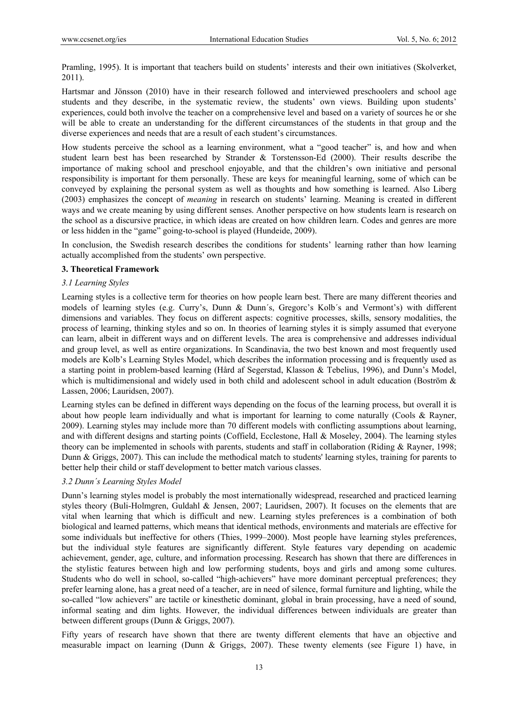Pramling, 1995). It is important that teachers build on students' interests and their own initiatives (Skolverket, 2011).

Hartsmar and Jönsson (2010) have in their research followed and interviewed preschoolers and school age students and they describe, in the systematic review, the students' own views. Building upon students' experiences, could both involve the teacher on a comprehensive level and based on a variety of sources he or she will be able to create an understanding for the different circumstances of the students in that group and the diverse experiences and needs that are a result of each student's circumstances.

How students perceive the school as a learning environment, what a "good teacher" is, and how and when student learn best has been researched by Strander & Torstensson-Ed (2000). Their results describe the importance of making school and preschool enjoyable, and that the children's own initiative and personal responsibility is important for them personally. These are keys for meaningful learning, some of which can be conveyed by explaining the personal system as well as thoughts and how something is learned. Also Liberg (2003) emphasizes the concept of *meaning* in research on students' learning. Meaning is created in different ways and we create meaning by using different senses. Another perspective on how students learn is research on the school as a discursive practice, in which ideas are created on how children learn. Codes and genres are more or less hidden in the "game" going-to-school is played (Hundeide, 2009).

In conclusion, the Swedish research describes the conditions for students' learning rather than how learning actually accomplished from the students' own perspective.

## **3. Theoretical Framework**

## *3.1 Learning Styles*

Learning styles is a collective term for theories on how people learn best. There are many different theories and models of learning styles (e.g. Curry's, Dunn & Dunn´s, Gregorc's Kolb´s and Vermont's) with different dimensions and variables. They focus on different aspects: cognitive processes, skills, sensory modalities, the process of learning, thinking styles and so on. In theories of learning styles it is simply assumed that everyone can learn, albeit in different ways and on different levels. The area is comprehensive and addresses individual and group level, as well as entire organizations. In Scandinavia, the two best known and most frequently used models are Kolb's Learning Styles Model, which describes the information processing and is frequently used as a starting point in problem-based learning (Hård af Segerstad, Klasson & Tebelius, 1996), and Dunn's Model, which is multidimensional and widely used in both child and adolescent school in adult education (Boström & Lassen, 2006; Lauridsen, 2007).

Learning styles can be defined in different ways depending on the focus of the learning process, but overall it is about how people learn individually and what is important for learning to come naturally (Cools & Rayner, 2009). Learning styles may include more than 70 different models with conflicting assumptions about learning, and with different designs and starting points (Coffield, Ecclestone, Hall & Moseley, 2004). The learning styles theory can be implemented in schools with parents, students and staff in collaboration (Riding & Rayner, 1998; Dunn & Griggs, 2007). This can include the methodical match to students' learning styles, training for parents to better help their child or staff development to better match various classes.

# *3.2 Dunn´s Learning Styles Model*

Dunn's learning styles model is probably the most internationally widespread, researched and practiced learning styles theory (Buli-Holmgren, Guldahl & Jensen, 2007; Lauridsen, 2007). It focuses on the elements that are vital when learning that which is difficult and new. Learning styles preferences is a combination of both biological and learned patterns, which means that identical methods, environments and materials are effective for some individuals but ineffective for others (Thies, 1999–2000). Most people have learning styles preferences, but the individual style features are significantly different. Style features vary depending on academic achievement, gender, age, culture, and information processing. Research has shown that there are differences in the stylistic features between high and low performing students, boys and girls and among some cultures. Students who do well in school, so-called "high-achievers" have more dominant perceptual preferences; they prefer learning alone, has a great need of a teacher, are in need of silence, formal furniture and lighting, while the so-called "low achievers" are tactile or kinesthetic dominant, global in brain processing, have a need of sound, informal seating and dim lights. However, the individual differences between individuals are greater than between different groups (Dunn & Griggs, 2007).

Fifty years of research have shown that there are twenty different elements that have an objective and measurable impact on learning (Dunn & Griggs, 2007). These twenty elements (see Figure 1) have, in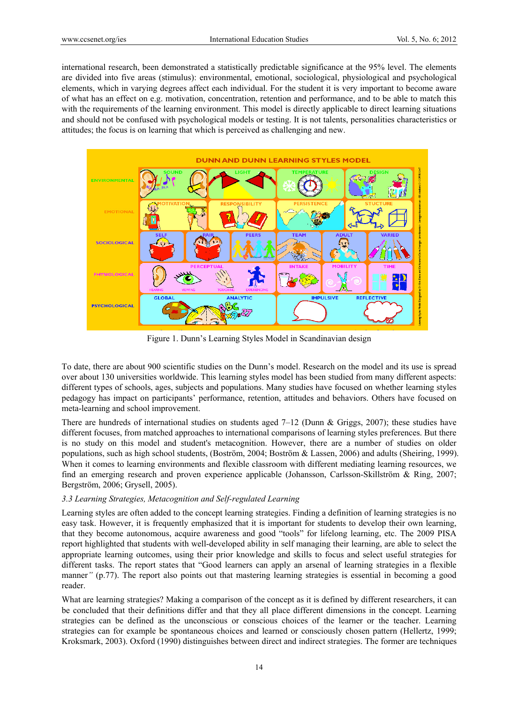international research, been demonstrated a statistically predictable significance at the 95% level. The elements are divided into five areas (stimulus): environmental, emotional, sociological, physiological and psychological elements, which in varying degrees affect each individual. For the student it is very important to become aware of what has an effect on e.g. motivation, concentration, retention and performance, and to be able to match this with the requirements of the learning environment. This model is directly applicable to direct learning situations and should not be confused with psychological models or testing. It is not talents, personalities characteristics or attitudes; the focus is on learning that which is perceived as challenging and new.



Figure 1. Dunn's Learning Styles Model in Scandinavian design

To date, there are about 900 scientific studies on the Dunn's model. Research on the model and its use is spread over about 130 universities worldwide. This learning styles model has been studied from many different aspects: different types of schools, ages, subjects and populations. Many studies have focused on whether learning styles pedagogy has impact on participants' performance, retention, attitudes and behaviors. Others have focused on meta-learning and school improvement.

There are hundreds of international studies on students aged 7–12 (Dunn & Griggs, 2007); these studies have different focuses, from matched approaches to international comparisons of learning styles preferences. But there is no study on this model and student's metacognition. However, there are a number of studies on older populations, such as high school students, (Boström, 2004; Boström & Lassen, 2006) and adults (Sheiring, 1999). When it comes to learning environments and flexible classroom with different mediating learning resources, we find an emerging research and proven experience applicable (Johansson, Carlsson-Skillström & Ring, 2007; Bergström, 2006; Grysell, 2005).

# *3.3 Learning Strategies, Metacognition and Self-regulated Learning*

Learning styles are often added to the concept learning strategies. Finding a definition of learning strategies is no easy task. However, it is frequently emphasized that it is important for students to develop their own learning, that they become autonomous, acquire awareness and good "tools" for lifelong learning, etc. The 2009 PISA report highlighted that students with well-developed ability in self managing their learning, are able to select the appropriate learning outcomes, using their prior knowledge and skills to focus and select useful strategies for different tasks. The report states that "Good learners can apply an arsenal of learning strategies in a flexible manner<sup>*"*</sup> (p.77). The report also points out that mastering learning strategies is essential in becoming a good reader.

What are learning strategies? Making a comparison of the concept as it is defined by different researchers, it can be concluded that their definitions differ and that they all place different dimensions in the concept. Learning strategies can be defined as the unconscious or conscious choices of the learner or the teacher. Learning strategies can for example be spontaneous choices and learned or consciously chosen pattern (Hellertz, 1999; Kroksmark, 2003). Oxford (1990) distinguishes between direct and indirect strategies. The former are techniques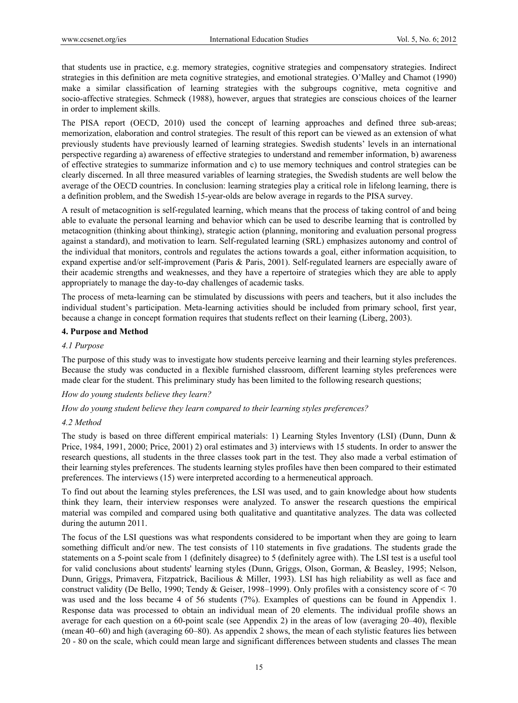that students use in practice, e.g. memory strategies, cognitive strategies and compensatory strategies. Indirect strategies in this definition are meta cognitive strategies, and emotional strategies. O'Malley and Chamot (1990) make a similar classification of learning strategies with the subgroups cognitive, meta cognitive and socio-affective strategies. Schmeck (1988), however, argues that strategies are conscious choices of the learner in order to implement skills.

The PISA report (OECD, 2010) used the concept of learning approaches and defined three sub-areas; memorization, elaboration and control strategies. The result of this report can be viewed as an extension of what previously students have previously learned of learning strategies. Swedish students' levels in an international perspective regarding a) awareness of effective strategies to understand and remember information, b) awareness of effective strategies to summarize information and c) to use memory techniques and control strategies can be clearly discerned. In all three measured variables of learning strategies, the Swedish students are well below the average of the OECD countries. In conclusion: learning strategies play a critical role in lifelong learning, there is a definition problem, and the Swedish 15-year-olds are below average in regards to the PISA survey.

A result of metacognition is self-regulated learning, which means that the process of taking control of and being able to evaluate the personal learning and behavior which can be used to describe learning that is controlled by metacognition (thinking about thinking), strategic action (planning, monitoring and evaluation personal progress against a standard), and motivation to learn. Self-regulated learning (SRL) emphasizes autonomy and control of the individual that monitors, controls and regulates the actions towards a goal, either information acquisition, to expand expertise and/or self-improvement (Paris & Paris, 2001). Self-regulated learners are especially aware of their academic strengths and weaknesses, and they have a repertoire of strategies which they are able to apply appropriately to manage the day-to-day challenges of academic tasks.

The process of meta-learning can be stimulated by discussions with peers and teachers, but it also includes the individual student's participation. Meta-learning activities should be included from primary school, first year, because a change in concept formation requires that students reflect on their learning (Liberg, 2003).

### **4. Purpose and Method**

### *4.1 Purpose*

The purpose of this study was to investigate how students perceive learning and their learning styles preferences. Because the study was conducted in a flexible furnished classroom, different learning styles preferences were made clear for the student. This preliminary study has been limited to the following research questions;

*How do young students believe they learn?* 

*How do young student believe they learn compared to their learning styles preferences?* 

#### *4.2 Method*

The study is based on three different empirical materials: 1) Learning Styles Inventory (LSI) (Dunn, Dunn & Price, 1984, 1991, 2000; Price, 2001) 2) oral estimates and 3) interviews with 15 students. In order to answer the research questions, all students in the three classes took part in the test. They also made a verbal estimation of their learning styles preferences. The students learning styles profiles have then been compared to their estimated preferences. The interviews (15) were interpreted according to a hermeneutical approach.

To find out about the learning styles preferences, the LSI was used, and to gain knowledge about how students think they learn, their interview responses were analyzed. To answer the research questions the empirical material was compiled and compared using both qualitative and quantitative analyzes. The data was collected during the autumn 2011.

The focus of the LSI questions was what respondents considered to be important when they are going to learn something difficult and/or new. The test consists of 110 statements in five gradations. The students grade the statements on a 5-point scale from 1 (definitely disagree) to 5 (definitely agree with). The LSI test is a useful tool for valid conclusions about students' learning styles (Dunn, Griggs, Olson, Gorman, & Beasley, 1995; Nelson, Dunn, Griggs, Primavera, Fitzpatrick, Bacilious & Miller, 1993). LSI has high reliability as well as face and construct validity (De Bello, 1990; Tendy & Geiser, 1998–1999). Only profiles with a consistency score of < 70 was used and the loss became 4 of 56 students (7%). Examples of questions can be found in Appendix 1. Response data was processed to obtain an individual mean of 20 elements. The individual profile shows an average for each question on a 60-point scale (see Appendix 2) in the areas of low (averaging 20–40), flexible (mean 40–60) and high (averaging 60–80). As appendix 2 shows, the mean of each stylistic features lies between 20 - 80 on the scale, which could mean large and significant differences between students and classes The mean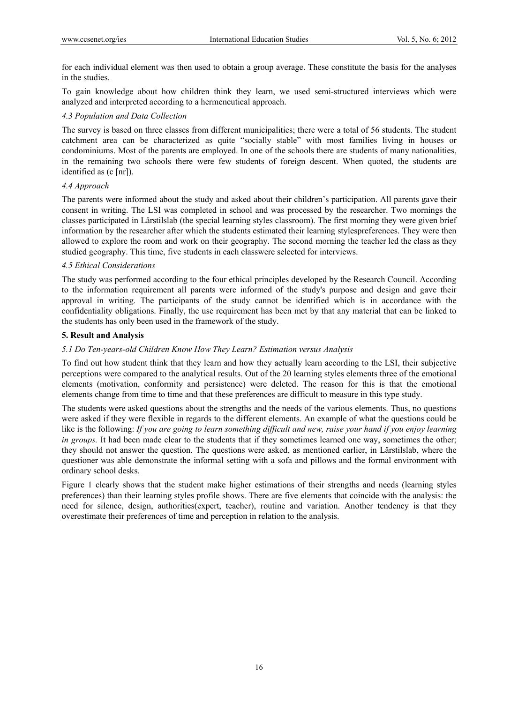for each individual element was then used to obtain a group average. These constitute the basis for the analyses in the studies.

To gain knowledge about how children think they learn, we used semi-structured interviews which were analyzed and interpreted according to a hermeneutical approach.

## *4.3 Population and Data Collection*

The survey is based on three classes from different municipalities; there were a total of 56 students. The student catchment area can be characterized as quite "socially stable" with most families living in houses or condominiums. Most of the parents are employed. In one of the schools there are students of many nationalities, in the remaining two schools there were few students of foreign descent. When quoted, the students are identified as (c [nr]).

### *4.4 Approach*

The parents were informed about the study and asked about their children's participation. All parents gave their consent in writing. The LSI was completed in school and was processed by the researcher. Two mornings the classes participated in Lärstilslab (the special learning styles classroom). The first morning they were given brief information by the researcher after which the students estimated their learning stylespreferences. They were then allowed to explore the room and work on their geography. The second morning the teacher led the class as they studied geography. This time, five students in each classwere selected for interviews.

## *4.5 Ethical Considerations*

The study was performed according to the four ethical principles developed by the Research Council. According to the information requirement all parents were informed of the study's purpose and design and gave their approval in writing. The participants of the study cannot be identified which is in accordance with the confidentiality obligations. Finally, the use requirement has been met by that any material that can be linked to the students has only been used in the framework of the study.

## **5. Result and Analysis**

## *5.1 Do Ten-years-old Children Know How They Learn? Estimation versus Analysis*

To find out how student think that they learn and how they actually learn according to the LSI, their subjective perceptions were compared to the analytical results. Out of the 20 learning styles elements three of the emotional elements (motivation, conformity and persistence) were deleted. The reason for this is that the emotional elements change from time to time and that these preferences are difficult to measure in this type study.

The students were asked questions about the strengths and the needs of the various elements. Thus, no questions were asked if they were flexible in regards to the different elements. An example of what the questions could be like is the following: *If you are going to learn something difficult and new, raise your hand if you enjoy learning in groups*. It had been made clear to the students that if they sometimes learned one way, sometimes the other; they should not answer the question. The questions were asked, as mentioned earlier, in Lärstilslab, where the questioner was able demonstrate the informal setting with a sofa and pillows and the formal environment with ordinary school desks.

Figure 1 clearly shows that the student make higher estimations of their strengths and needs (learning styles preferences) than their learning styles profile shows. There are five elements that coincide with the analysis: the need for silence, design, authorities(expert, teacher), routine and variation. Another tendency is that they overestimate their preferences of time and perception in relation to the analysis.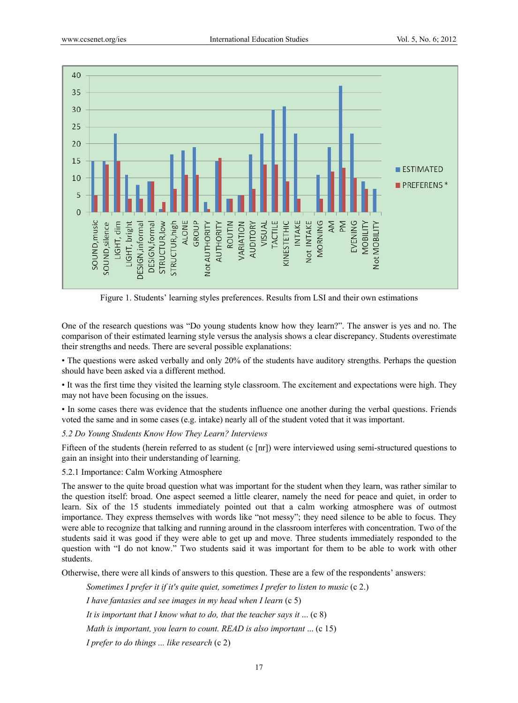

Figure 1. Students' learning styles preferences. Results from LSI and their own estimations

One of the research questions was "Do young students know how they learn?". The answer is yes and no. The comparison of their estimated learning style versus the analysis shows a clear discrepancy. Students overestimate their strengths and needs. There are several possible explanations:

• The questions were asked verbally and only 20% of the students have auditory strengths. Perhaps the question should have been asked via a different method.

• It was the first time they visited the learning style classroom. The excitement and expectations were high. They may not have been focusing on the issues.

• In some cases there was evidence that the students influence one another during the verbal questions. Friends voted the same and in some cases (e.g. intake) nearly all of the student voted that it was important.

### *5.2 Do Young Students Know How They Learn? Interviews*

Fifteen of the students (herein referred to as student (c [nr]) were interviewed using semi-structured questions to gain an insight into their understanding of learning.

5.2.1 Importance: Calm Working Atmosphere

The answer to the quite broad question what was important for the student when they learn, was rather similar to the question itself: broad. One aspect seemed a little clearer, namely the need for peace and quiet, in order to learn. Six of the 15 students immediately pointed out that a calm working atmosphere was of outmost importance. They express themselves with words like "not messy"; they need silence to be able to focus. They were able to recognize that talking and running around in the classroom interferes with concentration. Two of the students said it was good if they were able to get up and move. Three students immediately responded to the question with "I do not know." Two students said it was important for them to be able to work with other students.

Otherwise, there were all kinds of answers to this question. These are a few of the respondents' answers:

*Sometimes I prefer it if it's quite quiet, sometimes I prefer to listen to music* (c 2.)

 *I have fantasies and see images in my head when I learn* (c 5)

 *It is important that I know what to do, that the teacher says it* ... (c 8)

*Math is important, you learn to count. READ is also important ...* (c 15)

 *I prefer to do things ... like research* (c 2)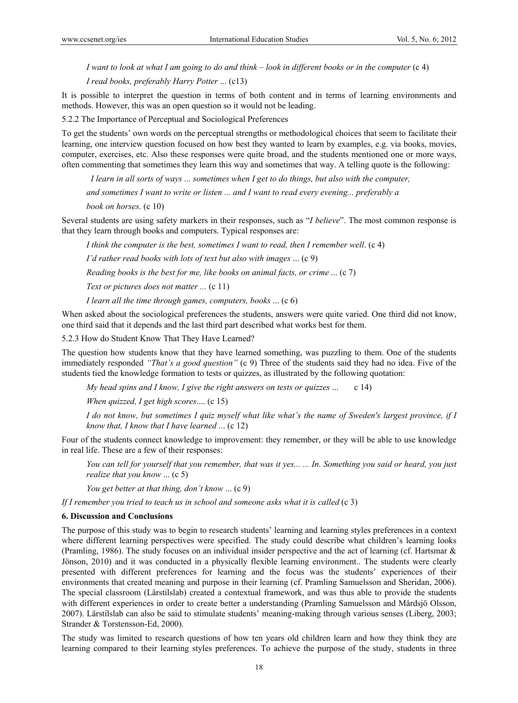*I want to look at what I am going to do and think* – *look in different books or in the computer* (c 4)  *I read books, preferably Harry Potter* ... (c13)

It is possible to interpret the question in terms of both content and in terms of learning environments and methods. However, this was an open question so it would not be leading.

5.2.2 The Importance of Perceptual and Sociological Preferences

To get the students' own words on the perceptual strengths or methodological choices that seem to facilitate their learning, one interview question focused on how best they wanted to learn by examples, e.g. via books, movies, computer, exercises, etc. Also these responses were quite broad, and the students mentioned one or more ways, often commenting that sometimes they learn this way and sometimes that way. A telling quote is the following:

 *I learn in all sorts of ways ... sometimes when I get to do things, but also with the computer,* 

 *and sometimes I want to write or listen ... and I want to read every evening... preferably a* 

 *book on horses*. (c 10)

Several students are using safety markers in their responses, such as "*I believe*". The most common response is that they learn through books and computers. Typical responses are:

 *I think the computer is the best, sometimes I want to read, then I remember well*. (c 4)

 *I'd rather read books with lots of text but also with images* ... (c 9)

 *Reading books is the best for me, like books on animal facts, or crime* ... (c 7)

*Text or pictures does not matter ...* (c 11)

 *I learn all the time through games, computers, books* ... (c 6)

When asked about the sociological preferences the students, answers were quite varied. One third did not know, one third said that it depends and the last third part described what works best for them.

5.2.3 How do Student Know That They Have Learned?

The question how students know that they have learned something, was puzzling to them. One of the students immediately responded *"That's a good question"* (c 9) Three of the students said they had no idea. Five of the students tied the knowledge formation to tests or quizzes, as illustrated by the following quotation:

 *My head spins and I know, I give the right answers on tests or quizzes* ... c 14)

*When quizzed, I get high scores*.... (c 15)

*I do not know, but sometimes I quiz myself what like what's the name of Sweden's largest province, if I know that, I know that I have learned* ... (c 12)

Four of the students connect knowledge to improvement: they remember, or they will be able to use knowledge in real life. These are a few of their responses:

*You can tell for yourself that you remember, that was it yes... ... In. Something you said or heard, you just realize that you know* ... (c 5)

 *You get better at that thing, don't know* ... (c 9)

*If I remember you tried to teach us in school and someone asks what it is called* (c 3)

#### **6. Discussion and Conclusions**

The purpose of this study was to begin to research students' learning and learning styles preferences in a context where different learning perspectives were specified. The study could describe what children's learning looks (Pramling, 1986). The study focuses on an individual insider perspective and the act of learning (cf. Hartsmar & Jönson, 2010) and it was conducted in a physically flexible learning environment.. The students were clearly presented with different preferences for learning and the focus was the students' experiences of their environments that created meaning and purpose in their learning (cf. Pramling Samuelsson and Sheridan, 2006). The special classroom (Lärstilslab) created a contextual framework, and was thus able to provide the students with different experiences in order to create better a understanding (Pramling Samuelsson and Mårdsjö Olsson, 2007). Lärstilslab can also be said to stimulate students' meaning-making through various senses (Liberg, 2003; Strander & Torstensson-Ed, 2000).

The study was limited to research questions of how ten years old children learn and how they think they are learning compared to their learning styles preferences. To achieve the purpose of the study, students in three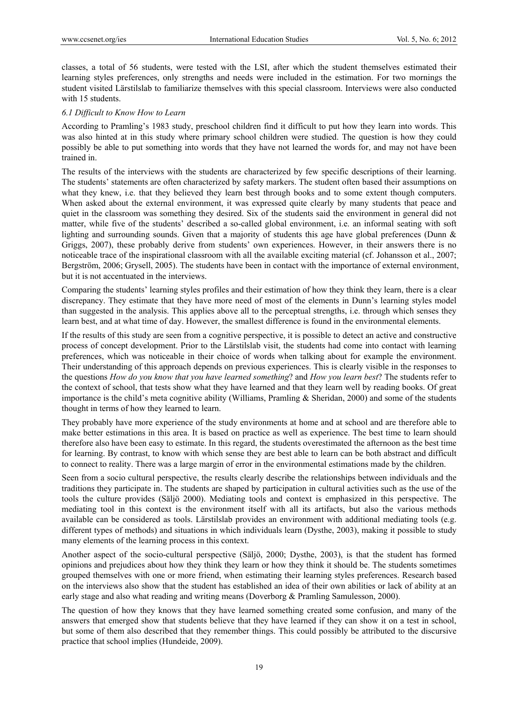classes, a total of 56 students, were tested with the LSI, after which the student themselves estimated their learning styles preferences, only strengths and needs were included in the estimation. For two mornings the student visited Lärstilslab to familiarize themselves with this special classroom. Interviews were also conducted with 15 students.

#### *6.1 Difficult to Know How to Learn*

According to Pramling's 1983 study, preschool children find it difficult to put how they learn into words. This was also hinted at in this study where primary school children were studied. The question is how they could possibly be able to put something into words that they have not learned the words for, and may not have been trained in.

The results of the interviews with the students are characterized by few specific descriptions of their learning. The students' statements are often characterized by safety markers. The student often based their assumptions on what they knew, i.e. that they believed they learn best through books and to some extent though computers. When asked about the external environment, it was expressed quite clearly by many students that peace and quiet in the classroom was something they desired. Six of the students said the environment in general did not matter, while five of the students' described a so-called global environment, i.e. an informal seating with soft lighting and surrounding sounds. Given that a majority of students this age have global preferences (Dunn & Griggs, 2007), these probably derive from students' own experiences. However, in their answers there is no noticeable trace of the inspirational classroom with all the available exciting material (cf. Johansson et al., 2007; Bergström, 2006; Grysell, 2005). The students have been in contact with the importance of external environment, but it is not accentuated in the interviews.

Comparing the students' learning styles profiles and their estimation of how they think they learn, there is a clear discrepancy. They estimate that they have more need of most of the elements in Dunn's learning styles model than suggested in the analysis. This applies above all to the perceptual strengths, i.e. through which senses they learn best, and at what time of day. However, the smallest difference is found in the environmental elements.

If the results of this study are seen from a cognitive perspective, it is possible to detect an active and constructive process of concept development. Prior to the Lärstilslab visit, the students had come into contact with learning preferences, which was noticeable in their choice of words when talking about for example the environment. Their understanding of this approach depends on previous experiences. This is clearly visible in the responses to the questions *How do you know that you have learned something*? and *How you learn best*? The students refer to the context of school, that tests show what they have learned and that they learn well by reading books. Of great importance is the child's meta cognitive ability (Williams, Pramling & Sheridan, 2000) and some of the students thought in terms of how they learned to learn.

They probably have more experience of the study environments at home and at school and are therefore able to make better estimations in this area. It is based on practice as well as experience. The best time to learn should therefore also have been easy to estimate. In this regard, the students overestimated the afternoon as the best time for learning. By contrast, to know with which sense they are best able to learn can be both abstract and difficult to connect to reality. There was a large margin of error in the environmental estimations made by the children.

Seen from a socio cultural perspective, the results clearly describe the relationships between individuals and the traditions they participate in. The students are shaped by participation in cultural activities such as the use of the tools the culture provides (Säljö 2000). Mediating tools and context is emphasized in this perspective. The mediating tool in this context is the environment itself with all its artifacts, but also the various methods available can be considered as tools. Lärstilslab provides an environment with additional mediating tools (e.g. different types of methods) and situations in which individuals learn (Dysthe, 2003), making it possible to study many elements of the learning process in this context.

Another aspect of the socio-cultural perspective (Säljö, 2000; Dysthe, 2003), is that the student has formed opinions and prejudices about how they think they learn or how they think it should be. The students sometimes grouped themselves with one or more friend, when estimating their learning styles preferences. Research based on the interviews also show that the student has established an idea of their own abilities or lack of ability at an early stage and also what reading and writing means (Doverborg & Pramling Samulesson, 2000).

The question of how they knows that they have learned something created some confusion, and many of the answers that emerged show that students believe that they have learned if they can show it on a test in school, but some of them also described that they remember things. This could possibly be attributed to the discursive practice that school implies (Hundeide, 2009).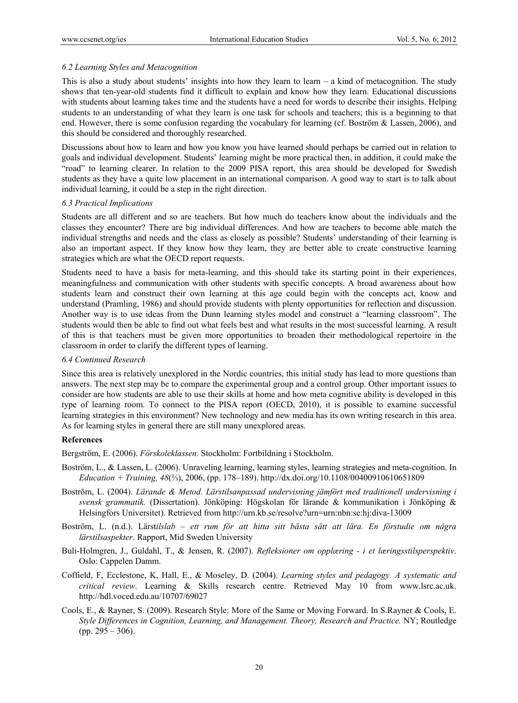## *6.2 Learning Styles and Metacognition*

This is also a study about students' insights into how they learn to learn  $-$  a kind of metacognition. The study shows that ten-year-old students find it difficult to explain and know how they learn. Educational discussions with students about learning takes time and the students have a need for words to describe their insights. Helping students to an understanding of what they learn is one task for schools and teachers; this is a beginning to that end. However, there is some confusion regarding the vocabulary for learning (cf. Boström & Lassen, 2006), and this should be considered and thoroughly researched.

Discussions about how to learn and how you know you have learned should perhaps be carried out in relation to goals and individual development. Students' learning might be more practical then, in addition, it could make the "road" to learning clearer. In relation to the 2009 PISA report, this area should be developed for Swedish students as they have a quite low placement in an international comparison. A good way to start is to talk about individual learning, it could be a step in the right direction.

### *6.3 Practical Implications*

Students are all different and so are teachers. But how much do teachers know about the individuals and the classes they encounter? There are big individual differences. And how are teachers to become able match the individual strengths and needs and the class as closely as possible? Students' understanding of their learning is also an important aspect. If they know how they learn, they are better able to create constructive learning strategies which are what the OECD report requests.

Students need to have a basis for meta-learning, and this should take its starting point in their experiences, meaningfulness and communication with other students with specific concepts. A broad awareness about how students learn and construct their own learning at this age could begin with the concepts act, know and understand (Pramling, 1986) and should provide students with plenty opportunities for reflection and discussion. Another way is to use ideas from the Dunn learning styles model and construct a "learning classroom". The students would then be able to find out what feels best and what results in the most successful learning. A result of this is that teachers must be given more opportunities to broaden their methodological repertoire in the classroom in order to clarify the different types of learning.

### *6.4 Continued Research*

Since this area is relatively unexplored in the Nordic countries, this initial study has lead to more questions than answers. The next step may be to compare the experimental group and a control group. Other important issues to consider are how students are able to use their skills at home and how meta cognitive ability is developed in this type of learning room. To connect to the PISA report (OECD, 2010), it is possible to examine successful learning strategies in this environment? New technology and new media has its own writing research in this area. As for learning styles in general there are still many unexplored areas.

### **References**

Bergström, E. (2006). *Förskoleklassen.* Stockholm: Fortbildning i Stockholm.

- Boström, L., & Lassen, L. (2006). Unraveling learning, learning styles, learning strategies and meta-cognition. In *Education + Training, 48*(⅔), 2006, (pp. 178–189). http://dx.doi.org/10.1108/00400910610651809
- Boström, L. (2004). *Lärande & Metod. Lärstilsanpassad undervisning jämfört med traditionell undervisning i svensk grammatik.* (Dissertation). Jönköping: Högskolan för lärande & kommunikation i Jönköping & Helsingfors Universitet). Retrieved from http://urn.kb.se/resolve?urn=urn:nbn:se:hj:diva-13009
- Boström, L. (n.d.). Lärst*ilslab ett rum för att hitta sitt bästa sätt att lära. En förstudie om några lärstilsaspekter*. Rapport, Mid Sweden University
- Buli-Holmgren, J., Guldahl, T., & Jensen, R. (2007). *Refleksioner om opplæring i et læringsstilsperspektiv*. Oslo: Cappelen Damm.
- Coffield, F, Ecclestone, K, Hall, E., & Moseley, D. (2004). *Learning styles and pedagogy. A systematic and critical review*. Learning & Skills research centre. Retrieved May 10 from www.lsrc.ac.uk. http://hdl.voced.edu.au/10707/69027
- Cools, E., & Rayner, S. (2009). Research Style: More of the Same or Moving Forward. In S.Rayner & Cools, E. *Style Differences in Cognition, Learning, and Management. Theory, Research and Practice.* NY; Routledge (pp. 295 – 306).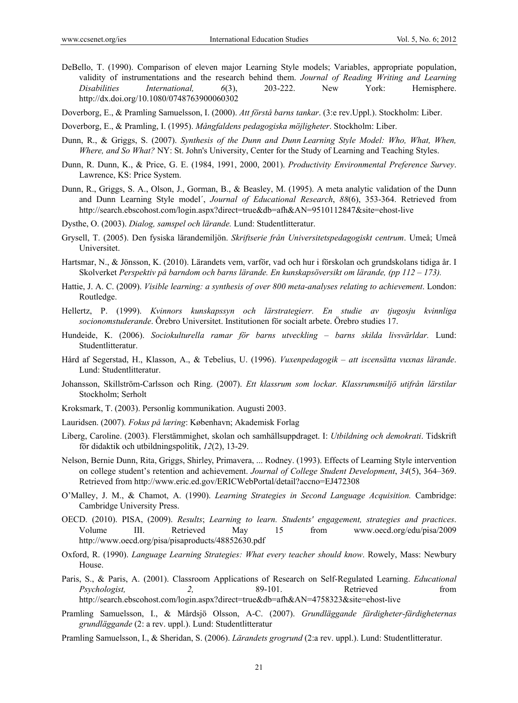DeBello, T. (1990). Comparison of eleven major Learning Style models; Variables, appropriate population, validity of instrumentations and the research behind them. *Journal of Reading Writing and Learning Disabilities International, 6*(3), 203-222. New York: Hemisphere. http://dx.doi.org/10.1080/0748763900060302

Doverborg, E., & Pramling Samuelsson, I. (2000). *Att förstå barns tankar*. (3:e rev.Uppl.). Stockholm: Liber.

Doverborg, E., & Pramling, I. (1995). *Mångfaldens pedagogiska möjligheter*. Stockholm: Liber.

- Dunn, R., & Griggs, S. (2007). *Synthesis of the Dunn and Dunn Learning Style Model: Who, What, When, Where, and So What?* NY: St. John's University, Center for the Study of Learning and Teaching Styles.
- Dunn, R. Dunn, K., & Price, G. E. (1984, 1991, 2000, 2001). *Productivity Environmental Preference Survey*. Lawrence, KS: Price System.
- Dunn, R., Griggs, S. A., Olson, J., Gorman, B., & Beasley, M. (1995). A meta analytic validation of the Dunn and Dunn Learning Style model´, *Journal of Educational Research*, *88*(6), 353-364. Retrieved from http://search.ebscohost.com/login.aspx?direct=true&db=afh&AN=9510112847&site=ehost-live
- Dysthe, O. (2003). *Dialog, samspel och lärande.* Lund: Studentlitteratur.
- Grysell, T. (2005). Den fysiska lärandemiljön. *Skriftserie från Universitetspedagogiskt centrum*. Umeå; Umeå Universitet.
- Hartsmar, N., & Jönsson, K. (2010). Lärandets vem, varför, vad och hur i förskolan och grundskolans tidiga år. I Skolverket *Perspektiv på barndom och barns lärande. En kunskapsöversikt om lärande, (pp 112 – 173).*
- Hattie, J. A. C. (2009). *Visible learning: a synthesis of over 800 meta-analyses relating to achievement*. London: Routledge.
- Hellertz, P. (1999). *Kvinnors kunskapssyn och lärstrategierr. En studie av tjugosju kvinnliga socionomstuderande*. Örebro Universitet. Institutionen för socialt arbete. Örebro studies 17.
- Hundeide, K. (2006). *Sociokulturella ramar för barns utveckling barns skilda livsvärldar.* Lund: Studentlitteratur.
- Hård af Segerstad, H., Klasson, A., & Tebelius, U. (1996). *Vuxenpedagogik att iscensätta vuxnas lärande*. Lund: Studentlitteratur.
- Johansson, Skillström-Carlsson och Ring. (2007). *Ett klassrum som lockar. Klassrumsmiljö utifrån lärstilar*  Stockholm; Serholt
- Kroksmark, T. (2003). Personlig kommunikation. Augusti 2003.
- Lauridsen. (2007)*. Fokus på læring*: København; Akademisk Forlag
- Liberg, Caroline. (2003). Flerstämmighet, skolan och samhällsuppdraget. I: *Utbildning och demokrati*. Tidskrift för didaktik och utbildningspolitik, *12*(2), 13-29.
- Nelson, Bernie Dunn, Rita, Griggs, Shirley, Primavera, ... Rodney. (1993). Effects of Learning Style intervention on college student's retention and achievement. *Journal of College Student Development*, *34*(5), 364–369. Retrieved from http://www.eric.ed.gov/ERICWebPortal/detail?accno=EJ472308
- O'Malley, J. M., & Chamot, A. (1990). *Learning Strategies in Second Language Acquisition.* Cambridge: Cambridge University Press.
- OECD. (2010). PISA, (2009). *Results*; *Learning to learn. Students' engagement, strategies and practices*. Volume III. Retrieved May 15 from www.oecd.org/edu/pisa/2009 http://www.oecd.org/pisa/pisaproducts/48852630.pdf
- Oxford, R. (1990). *Language Learning Strategies: What every teacher should know*. Rowely, Mass: Newbury House.
- Paris, S., & Paris, A. (2001). Classroom Applications of Research on Self-Regulated Learning. *Educational Psychologist,* 2, 89-101. Retrieved from http://search.ebscohost.com/login.aspx?direct=true&db=afh&AN=4758323&site=ehost-live
- Pramling Samuelsson, I., & Mårdsjö Olsson, A-C. (2007). *Grundläggande färdigheter-färdigheternas grundläggande* (2: a rev. uppl.). Lund: Studentlitteratur
- Pramling Samuelsson, I., & Sheridan, S. (2006). *Lärandets grogrund* (2:a rev. uppl.). Lund: Studentlitteratur.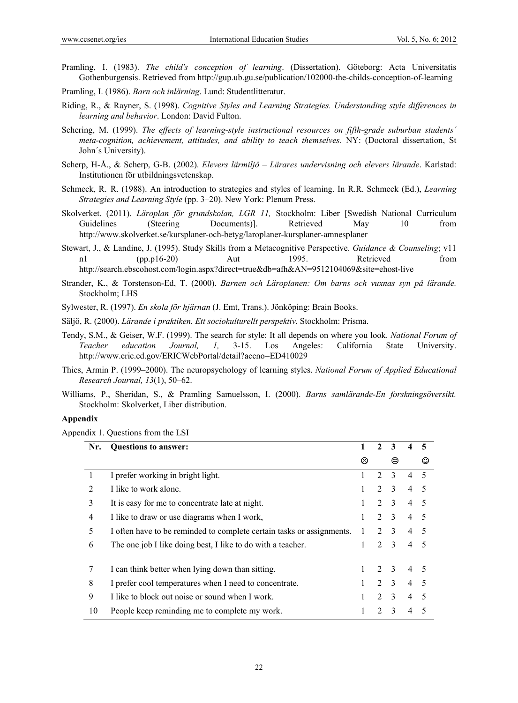- Pramling, I. (1983). *The child's conception of learning*. (Dissertation). Göteborg: Acta Universitatis Gothenburgensis. Retrieved from http://gup.ub.gu.se/publication/102000-the-childs-conception-of-learning
- Pramling, I. (1986). *Barn och inlärning*. Lund: Studentlitteratur.
- Riding, R., & Rayner, S. (1998). *Cognitive Styles and Learning Strategies. Understanding style differences in learning and behavior*. London: David Fulton.
- Schering, M. (1999). *The effects of learning-style instructional resources on fifth-grade suburban students´ meta-cognition, achievement, attitudes, and ability to teach themselves.* NY: (Doctoral dissertation, St John´s University).
- Scherp, H-Å., & Scherp, G-B. (2002). *Elevers lärmiljö Lärares undervisning och elevers lärande*. Karlstad: Institutionen för utbildningsvetenskap.
- Schmeck, R. R. (1988). An introduction to strategies and styles of learning. In R.R. Schmeck (Ed.), *Learning Strategies and Learning Style* (pp. 3–20). New York: Plenum Press.
- Skolverket. (2011). *Läroplan för grundskolan, LGR 11,* Stockholm: Liber [Swedish National Curriculum Guidelines (Steering Documents). Retrieved May 10 from http://www.skolverket.se/kursplaner-och-betyg/laroplaner-kursplaner-amnesplaner
- Stewart, J., & Landine, J. (1995). Study Skills from a Metacognitive Perspective. *Guidance & Counseling*; v11 n1 (pp.p16-20) Aut 1995. Retrieved from http://search.ebscohost.com/login.aspx?direct=true&db=afh&AN=9512104069&site=ehost-live
- Strander, K., & Torstenson-Ed, T. (2000). *Barnen och Läroplanen: Om barns och vuxnas syn på lärande.* Stockholm; LHS

Sylwester, R. (1997). *En skola för hjärnan* (J. Emt, Trans.). Jönköping: Brain Books.

Säljö, R. (2000). *Lärande i praktiken. Ett sociokulturellt perspektiv*. Stockholm: Prisma.

- Tendy, S.M., & Geiser, W.F. (1999). The search for style: It all depends on where you look. *National Forum of Teacher education Journal, 1,* 3-15. Los Angeles: California State University. http://www.eric.ed.gov/ERICWebPortal/detail?accno=ED410029
- Thies, Armin P. (1999–2000). The neuropsychology of learning styles. *National Forum of Applied Educational Research Journal, 13*(1), 50–62.
- Williams, P., Sheridan, S., & Pramling Samuelsson, I. (2000). *Barns samlärande-En forskningsöversikt.* Stockholm: Skolverket, Liber distribution.

#### **Appendix**

Appendix 1. Questions from the LSI

| Nr.            | <b>Questions to answer:</b>                                           | 1 | $\mathcal{L}$               | 3              |                | 5      |
|----------------|-----------------------------------------------------------------------|---|-----------------------------|----------------|----------------|--------|
|                |                                                                       | ⊗ |                             | ☺              |                | O      |
| 1              | I prefer working in bright light.                                     |   | $\mathcal{D}_{\mathcal{L}}$ | $\mathcal{E}$  | $\overline{4}$ | -5     |
| $\overline{2}$ | I like to work alone.                                                 | 1 | $\mathcal{D}_{\mathcal{L}}$ | $\mathcal{E}$  | 4              | -5     |
| 3              | It is easy for me to concentrate late at night.                       | 1 | $\overline{2}$              | 3              | 4              | -5     |
| 4              | I like to draw or use diagrams when I work,                           | 1 | $\mathcal{D}_{\mathcal{L}}$ | $\mathcal{E}$  | 4              | -5     |
| 5              | I often have to be reminded to complete certain tasks or assignments. | 1 | $\mathcal{D}_{\mathcal{L}}$ | 3              | 4              | - 5    |
| 6              | The one job I like doing best, I like to do with a teacher.           |   | $\mathcal{D}_{\mathcal{L}}$ | 3              | 4              | - 5    |
|                |                                                                       |   |                             |                |                |        |
| 7              | I can think better when lying down than sitting.                      |   | $\mathcal{L}$               | $\mathbf{3}$   | 4              | - 5    |
| 8              | I prefer cool temperatures when I need to concentrate.                |   | $\mathfrak{D}$              | $\overline{3}$ | 4              | $\sim$ |
| 9              | I like to block out noise or sound when I work.                       |   | $\mathcal{D}_{\mathcal{L}}$ | $\mathcal{E}$  | 4              | $\sim$ |
| 10             | People keep reminding me to complete my work.                         |   | $\mathcal{D}$               | $\mathcal{E}$  | 4              |        |